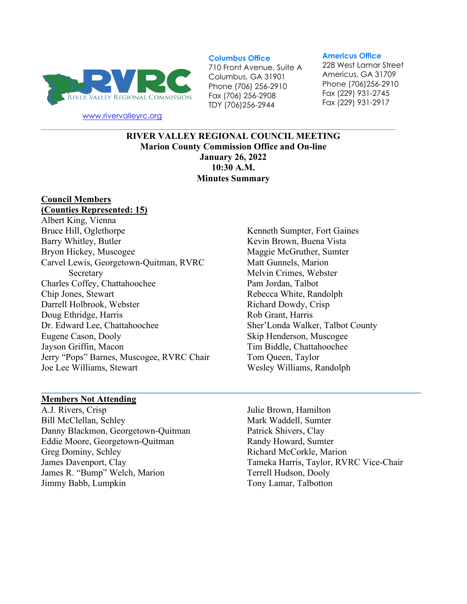

[www.rivervalleyrc.org](http://www.rivervalleyrc.org/)

#### **Columbus Office**

710 Front Avenue, Suite A Columbus, GA 31901 Phone (706) 256-2910 Fax (706) 256-2908 TDY (706)256-2944

#### **Americus Office**

228 West Lamar Street Americus, GA 31709 Phone (706)256-2910 Fax (229) 931-2745 Fax (229) 931-2917

**RIVER VALLEY REGIONAL COUNCIL MEETING Marion County Commission Office and On-line January 26, 2022 10:30 A.M. Minutes Summary**

**\_\_\_\_\_\_\_\_\_\_\_\_\_\_\_\_\_\_\_\_\_\_\_\_\_\_\_\_\_\_\_\_\_\_\_\_\_\_\_\_\_\_\_\_\_\_\_\_\_\_\_\_\_\_\_\_\_\_\_\_\_\_\_\_\_\_\_\_\_\_\_\_\_\_\_\_\_\_\_\_\_\_\_**

**\_\_\_\_\_\_\_\_\_\_\_\_\_\_\_\_\_\_\_\_\_\_\_\_\_\_\_\_\_\_\_\_\_\_\_\_\_\_\_\_\_\_\_\_\_\_\_\_\_\_\_\_\_\_\_\_\_\_\_\_\_\_\_\_\_\_\_\_\_\_\_\_\_\_\_\_\_\_\_\_\_\_\_\_\_\_\_\_\_\_\_\_\_**

#### **Council Members (Counties Represented: 15)**

# Albert King, Vienna Bruce Hill, Oglethorpe Barry Whitley, Butler Bryon Hickey, Muscogee Carvel Lewis, Georgetown-Quitman, RVRC Secretary Charles Coffey, Chattahoochee Chip Jones, Stewart Darrell Holbrook, Webster Doug Ethridge, Harris Dr. Edward Lee, Chattahoochee Eugene Cason, Dooly Jayson Griffin, Macon Jerry "Pops" Barnes, Muscogee, RVRC Chair Joe Lee Williams, Stewart

## Kenneth Sumpter, Fort Gaines Kevin Brown, Buena Vista Maggie McGruther, Sumter Matt Gunnels, Marion Melvin Crimes, Webster Pam Jordan, Talbot Rebecca White, Randolph Richard Dowdy, Crisp Rob Grant, Harris Sher'Londa Walker, Talbot County Skip Henderson, Muscogee Tim Biddle, Chattahoochee Tom Queen, Taylor Wesley Williams, Randolph

#### **Members Not Attending**

A.J. Rivers, Crisp Bill McClellan, Schley Danny Blackmon, Georgetown-Quitman Eddie Moore, Georgetown-Quitman Greg Dominy, Schley James Davenport, Clay James R. "Bump" Welch, Marion Jimmy Babb, Lumpkin

Julie Brown, Hamilton Mark Waddell, Sumter Patrick Shivers, Clay Randy Howard, Sumter Richard McCorkle, Marion Tameka Harris, Taylor, RVRC Vice-Chair Terrell Hudson, Dooly Tony Lamar, Talbotton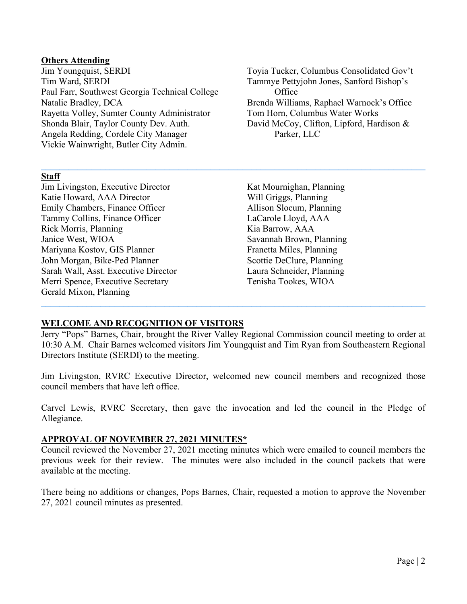### **Others Attending**

Jim Youngquist, SERDI Tim Ward, SERDI Paul Farr, Southwest Georgia Technical College Natalie Bradley, DCA Rayetta Volley, Sumter County Administrator Shonda Blair, Taylor County Dev. Auth. Angela Redding, Cordele City Manager Vickie Wainwright, Butler City Admin.

Toyia Tucker, Columbus Consolidated Gov't Tammye Pettyjohn Jones, Sanford Bishop's **Office** Brenda Williams, Raphael Warnock's Office Tom Horn, Columbus Water Works David McCoy, Clifton, Lipford, Hardison & Parker, LLC

### **Staff**

Jim Livingston, Executive Director Katie Howard, AAA Director Emily Chambers, Finance Officer Tammy Collins, Finance Officer Rick Morris, Planning Janice West, WIOA Mariyana Kostov, GIS Planner John Morgan, Bike-Ped Planner Sarah Wall, Asst. Executive Director Merri Spence, Executive Secretary Gerald Mixon, Planning

Kat Mournighan, Planning Will Griggs, Planning Allison Slocum, Planning LaCarole Lloyd, AAA Kia Barrow, AAA Savannah Brown, Planning Franetta Miles, Planning Scottie DeClure, Planning Laura Schneider, Planning Tenisha Tookes, WIOA

### **WELCOME AND RECOGNITION OF VISITORS**

Jerry "Pops" Barnes, Chair, brought the River Valley Regional Commission council meeting to order at 10:30 A.M. Chair Barnes welcomed visitors Jim Youngquist and Tim Ryan from Southeastern Regional Directors Institute (SERDI) to the meeting.

**\_\_\_\_\_\_\_\_\_\_\_\_\_\_\_\_\_\_\_\_\_\_\_\_\_\_\_\_\_\_\_\_\_\_\_\_\_\_\_\_\_\_\_\_\_\_\_\_\_\_\_\_\_\_\_\_\_\_\_\_\_\_\_\_\_\_\_\_\_\_\_\_\_\_\_\_\_\_\_\_\_\_\_\_**

**\_\_\_\_\_\_\_\_\_\_\_\_\_\_\_\_\_\_\_\_\_\_\_\_\_\_\_\_\_\_\_\_\_\_\_\_\_\_\_\_\_\_\_\_\_\_\_\_\_\_\_\_\_\_\_\_\_\_\_\_\_\_\_\_\_\_\_\_\_\_\_\_\_\_\_\_\_\_\_\_\_\_\_\_**

Jim Livingston, RVRC Executive Director, welcomed new council members and recognized those council members that have left office.

Carvel Lewis, RVRC Secretary, then gave the invocation and led the council in the Pledge of Allegiance.

### **APPROVAL OF NOVEMBER 27, 2021 MINUTES\***

Council reviewed the November 27, 2021 meeting minutes which were emailed to council members the previous week for their review. The minutes were also included in the council packets that were available at the meeting.

There being no additions or changes, Pops Barnes, Chair, requested a motion to approve the November 27, 2021 council minutes as presented.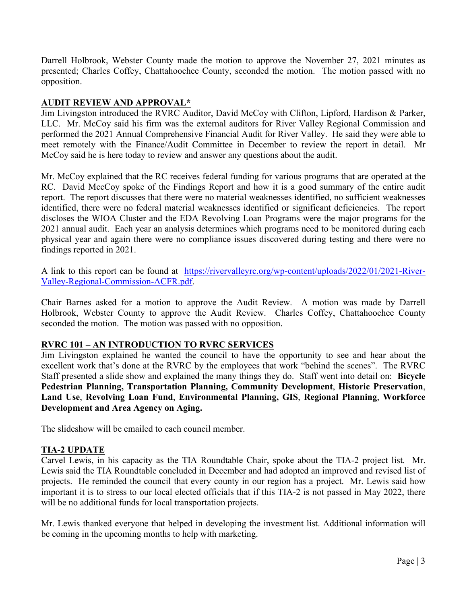Darrell Holbrook, Webster County made the motion to approve the November 27, 2021 minutes as presented; Charles Coffey, Chattahoochee County, seconded the motion. The motion passed with no opposition.

# **AUDIT REVIEW AND APPROVAL\***

Jim Livingston introduced the RVRC Auditor, David McCoy with Clifton, Lipford, Hardison & Parker, LLC. Mr. McCoy said his firm was the external auditors for River Valley Regional Commission and performed the 2021 Annual Comprehensive Financial Audit for River Valley. He said they were able to meet remotely with the Finance/Audit Committee in December to review the report in detail. Mr McCoy said he is here today to review and answer any questions about the audit.

Mr. McCoy explained that the RC receives federal funding for various programs that are operated at the RC. David MccCoy spoke of the Findings Report and how it is a good summary of the entire audit report. The report discusses that there were no material weaknesses identified, no sufficient weaknesses identified, there were no federal material weaknesses identified or significant deficiencies. The report discloses the WIOA Cluster and the EDA Revolving Loan Programs were the major programs for the 2021 annual audit. Each year an analysis determines which programs need to be monitored during each physical year and again there were no compliance issues discovered during testing and there were no findings reported in 2021.

A link to this report can be found at [https://rivervalleyrc.org/wp-content/uploads/2022/01/2021-River-](https://rivervalleyrc.org/wp-content/uploads/2022/01/2021-River-Valley-Regional-Commission-ACFR.pdf)[Valley-Regional-Commission-ACFR.pdf.](https://rivervalleyrc.org/wp-content/uploads/2022/01/2021-River-Valley-Regional-Commission-ACFR.pdf)

Chair Barnes asked for a motion to approve the Audit Review. A motion was made by Darrell Holbrook, Webster County to approve the Audit Review. Charles Coffey, Chattahoochee County seconded the motion. The motion was passed with no opposition.

# **RVRC 101 – AN INTRODUCTION TO RVRC SERVICES**

Jim Livingston explained he wanted the council to have the opportunity to see and hear about the excellent work that's done at the RVRC by the employees that work "behind the scenes". The RVRC Staff presented a slide show and explained the many things they do. Staff went into detail on: **Bicycle Pedestrian Planning, Transportation Planning, Community Development**, **Historic Preservation**, **Land Use**, **Revolving Loan Fund**, **Environmental Planning, GIS**, **Regional Planning**, **Workforce Development and Area Agency on Aging.**

The slideshow will be emailed to each council member.

# **TIA-2 UPDATE**

Carvel Lewis, in his capacity as the TIA Roundtable Chair, spoke about the TIA-2 project list. Mr. Lewis said the TIA Roundtable concluded in December and had adopted an improved and revised list of projects. He reminded the council that every county in our region has a project. Mr. Lewis said how important it is to stress to our local elected officials that if this TIA-2 is not passed in May 2022, there will be no additional funds for local transportation projects.

Mr. Lewis thanked everyone that helped in developing the investment list. Additional information will be coming in the upcoming months to help with marketing.